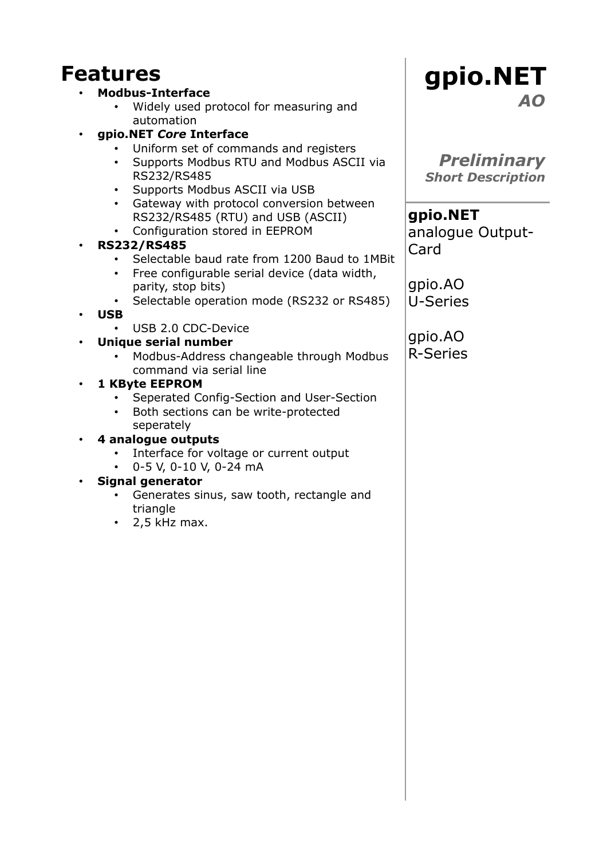# **Features**

#### • **Modbus-Interface**

- Widely used protocol for measuring and automation
- **gpio.NET** *Core* **Interface**
	- Uniform set of commands and registers
	- Supports Modbus RTU and Modbus ASCII via RS232/RS485
	- Supports Modbus ASCII via USB
	- Gateway with protocol conversion between RS232/RS485 (RTU) and USB (ASCII)
	- Configuration stored in EEPROM

#### • **RS232/RS485**

- Selectable baud rate from 1200 Baud to 1MBit
- Free configurable serial device (data width, parity, stop bits)
- Selectable operation mode (RS232 or RS485)
- **USB**
	- USB 2.0 CDC-Device

## • **Unique serial number**

• Modbus-Address changeable through Modbus command via serial line

## • **1 KByte EEPROM**

- Seperated Config-Section and User-Section
- Both sections can be write-protected seperately

#### • **4 analogue outputs**

- Interface for voltage or current output
- 0-5 V, 0-10 V, 0-24 mA

#### • **Signal generator**

- Generates sinus, saw tooth, rectangle and triangle
- $\cdot$  2.5 kHz max.

# **gpio.NET** *AO*

*Preliminary Short Description*

**gpio.NET** analogue Output-Card

gpio.AO U-Series

gpio.AO R-Series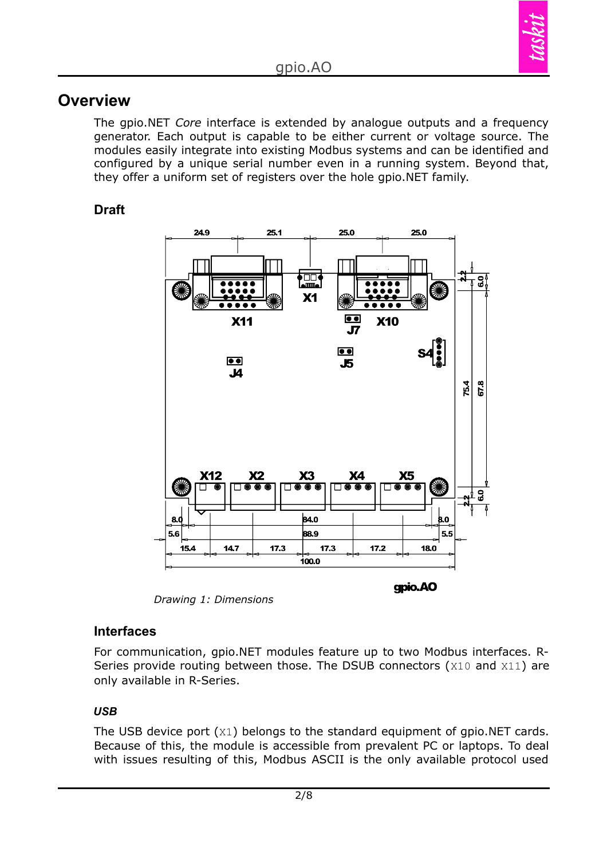

## **Overview**

The gpio.NET *Core* interface is extended by analogue outputs and a frequency generator. Each output is capable to be either current or voltage source. The modules easily integrate into existing Modbus systems and can be identified and configured by a unique serial number even in a running system. Beyond that, they offer a uniform set of registers over the hole gpio.NET family.

## **Draft**



*Drawing 1: Dimensions*

#### **Interfaces**

For communication, gpio.NET modules feature up to two Modbus interfaces. R-Series provide routing between those. The DSUB connectors (X10 and X11) are only available in R-Series.

#### *USB*

The USB device port (X1) belongs to the standard equipment of gpio.NET cards. Because of this, the module is accessible from prevalent PC or laptops. To deal with issues resulting of this, Modbus ASCII is the only available protocol used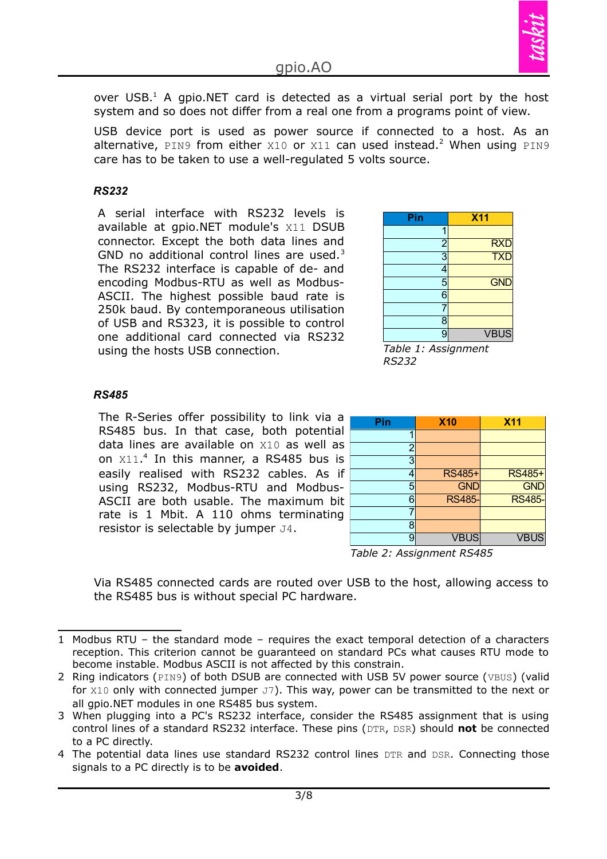

over USB. $<sup>1</sup>$  $<sup>1</sup>$  $<sup>1</sup>$  A gpio.NET card is detected as a virtual serial port by the host</sup> system and so does not differ from a real one from a programs point of view.

USB device port is used as power source if connected to a host. As an alternative, PIN9 from either  $x10$  or  $x11$  can used instead.<sup>[2](#page-2-1)</sup> When using PIN9 care has to be taken to use a well-regulated 5 volts source.

#### *RS232*

A serial interface with RS232 levels is available at gpio.NET module's X11 DSUB connector. Except the both data lines and GND no additional control lines are used.<sup>[3](#page-2-2)</sup> The RS232 interface is capable of de- and encoding Modbus-RTU as well as Modbus-ASCII. The highest possible baud rate is 250k baud. By [contemporaneous](http://dict.leo.org/ende?lp=ende&p=DOKJAA&search=contemporaneous&trestr=0x8004) utilisation of USB and RS323, it is possible to control one additional card connected via RS232 using the hosts USB connection.

| Pin                                     | <b>X11</b>  |
|-----------------------------------------|-------------|
| 1                                       |             |
| $\frac{2}{3}$                           | RXD<br>TXD  |
|                                         |             |
| 4                                       |             |
| $\frac{5}{6}$                           | <b>GND</b>  |
|                                         |             |
| 7                                       |             |
| 8                                       |             |
| $\overline{9}$                          | <b>VBUS</b> |
| _<br>$\sim$<br>$\overline{\phantom{a}}$ | ۰           |

*Table 1: Assignment RS232*

#### *RS485*

The R-Series offer possibility to link via a RS485 bus. In that case, both potential data lines are available on X10 as well as on X11. [4](#page-2-3) In this manner, a RS485 bus is easily realised with RS232 cables. As if using RS232, Modbus-RTU and Modbus-ASCII are both usable. The maximum bit rate is 1 Mbit. A 110 ohms terminating resistor is selectable by jumper J4.

| <b>X10</b>    | <b>X11</b>    |
|---------------|---------------|
|               |               |
|               |               |
|               |               |
| RS485+        | <b>RS485+</b> |
|               | <b>GND</b>    |
| <b>RS485-</b> | <b>RS485-</b> |
|               |               |
|               |               |
| <b>VBUS</b>   | <b>VBUS</b>   |
|               | <b>GND</b>    |

*Table 2: Assignment RS485*

Via RS485 connected cards are routed over USB to the host, allowing access to the RS485 bus is without special PC hardware.

<span id="page-2-0"></span><sup>1</sup> Modbus RTU – the standard mode – requires the exact temporal detection of a characters reception. This criterion cannot be guaranteed on standard PCs what causes RTU mode to become instable. Modbus ASCII is not affected by this constrain.

<span id="page-2-1"></span><sup>2</sup> Ring indicators (PIN9) of both DSUB are connected with USB 5V power source (VBUS) (valid for  $x10$  only with connected jumper  $J7$ ). This way, power can be transmitted to the next or all gpio.NET modules in one RS485 bus system.

<span id="page-2-2"></span><sup>3</sup> When plugging into a PC's RS232 interface, consider the RS485 assignment that is using control lines of a standard RS232 interface. These pins (DTR, DSR) should **not** be connected to a PC directly.

<span id="page-2-3"></span><sup>4</sup> The potential data lines use standard RS232 control lines DTR and DSR. Connecting those signals to a PC directly is to be **avoided**.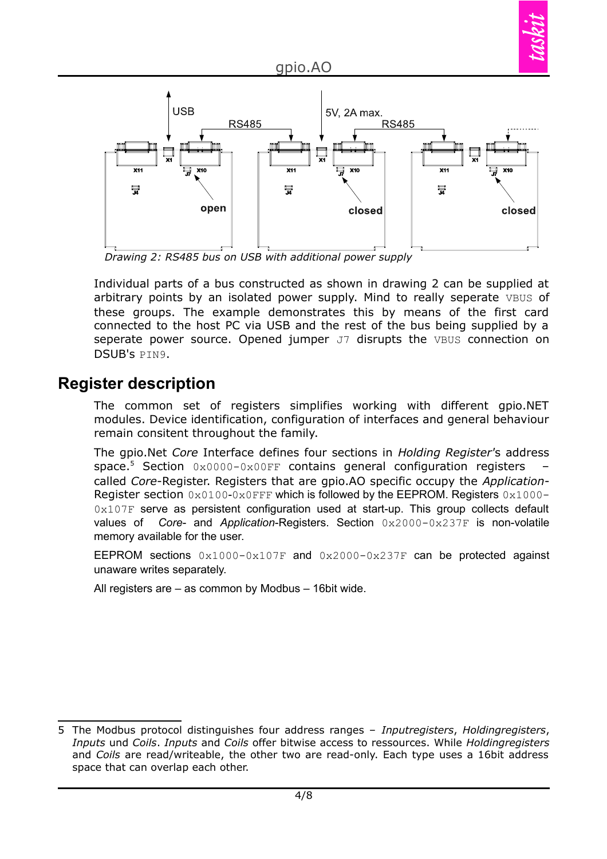

*Drawing 2: RS485 bus on USB with additional power supply*

Individual parts of a bus constructed as shown in drawing 2 can be supplied at arbitrary points by an isolated power supply. Mind to really seperate VBUS of these groups. The example demonstrates this by means of the first card connected to the host PC via USB and the rest of the bus being supplied by a seperate power source. Opened jumper J7 disrupts the VBUS connection on DSUB's PIN9.

# **Register description**

The common set of registers simplifies working with different gpio.NET modules. Device identification, configuration of interfaces and general behaviour remain consitent throughout the family.

The gpio.Net *Core* Interface defines four sections in *Holding Register'*s address space. [5](#page-3-0) Section 0x0000-0x00FF contains general configuration registers – called *Core*-Register. Registers that are gpio.AO specific occupy the *Application*-Register section  $0x0100-0x0$  FFF which is followed by the EEPROM. Registers  $0x1000-$ 0x107F serve as persistent configuration used at start-up. This group collects default values of *Core*- and *Application*-Registers. Section 0x2000-0x237F is non-volatile memory available for the user.

EEPROM sections  $0 \times 1000 - 0 \times 107$  and  $0 \times 2000 - 0 \times 237$  can be protected against unaware writes separately.

All registers are – as common by Modbus – 16bit wide.

<span id="page-3-0"></span><sup>5</sup> The Modbus protocol distinguishes four address ranges – *Inputregisters*, *Holdingregisters*, *Inputs* und *Coils*. *Inputs* and *Coils* offer bitwise access to ressources. While *Holdingregisters* and *Coils* are read/writeable, the other two are read-only. Each type uses a 16bit address space that can overlap each other.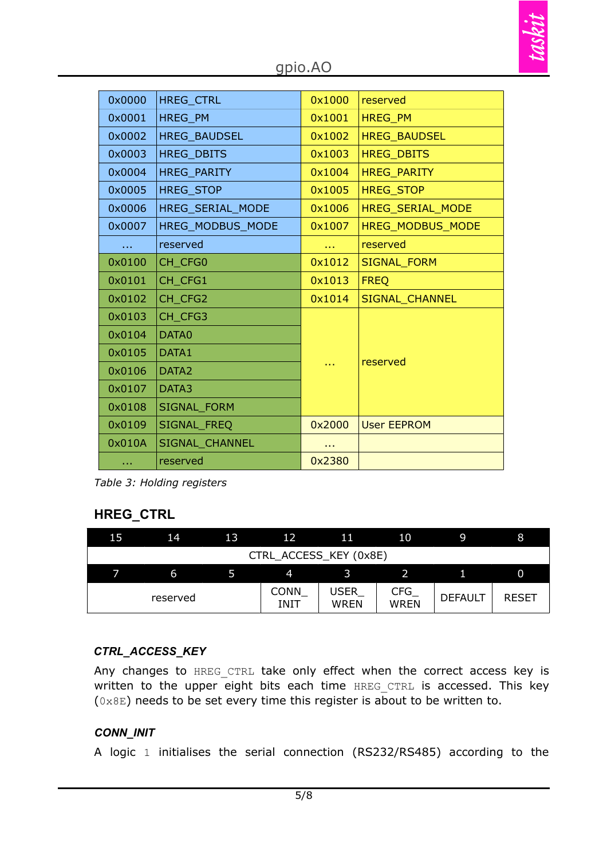| 0x0000 | <b>HREG CTRL</b>  | 0x1000 | reserved                |  |  |
|--------|-------------------|--------|-------------------------|--|--|
| 0x0001 | <b>HREG PM</b>    | 0x1001 | <b>HREG PM</b>          |  |  |
| 0x0002 | HREG_BAUDSEL      | 0x1002 | <b>HREG BAUDSEL</b>     |  |  |
| 0x0003 | HREG_DBITS        | 0x1003 | <b>HREG DBITS</b>       |  |  |
| 0x0004 | HREG_PARITY       | 0x1004 | <b>HREG_PARITY</b>      |  |  |
| 0x0005 | <b>HREG STOP</b>  | 0x1005 | <b>HREG_STOP</b>        |  |  |
| 0x0006 | HREG SERIAL MODE  | 0x1006 | <b>HREG SERIAL MODE</b> |  |  |
| 0x0007 | HREG MODBUS MODE  | 0x1007 | <b>HREG MODBUS MODE</b> |  |  |
|        | reserved          | a a s  | reserved                |  |  |
| 0x0100 | CH CFG0           | 0x1012 | <b>SIGNAL_FORM</b>      |  |  |
| 0x0101 | CH CFG1           | 0x1013 | <b>FREQ</b>             |  |  |
| 0x0102 | CH CFG2           | 0x1014 | SIGNAL_CHANNEL          |  |  |
| 0x0103 | CH CFG3           |        |                         |  |  |
| 0x0104 | DATA0             |        |                         |  |  |
| 0x0105 | DATA1             |        |                         |  |  |
| 0x0106 | DATA <sub>2</sub> |        | reserved                |  |  |
| 0x0107 | DATA3             |        |                         |  |  |
| 0x0108 | SIGNAL_FORM       |        |                         |  |  |
| 0x0109 | SIGNAL_FREQ       | 0x2000 | <b>User EEPROM</b>      |  |  |
| 0x010A | SIGNAL_CHANNEL    |        |                         |  |  |
| a a s  | reserved          | 0x2380 |                         |  |  |

*Table 3: Holding registers*

## **HREG\_CTRL**

| 15                     | .14 | 13 | 12                  | 11                  | 10                        | ۱q             | 8            |
|------------------------|-----|----|---------------------|---------------------|---------------------------|----------------|--------------|
| CTRL_ACCESS_KEY (0x8E) |     |    |                     |                     |                           |                |              |
|                        | 6   |    | $\boldsymbol{4}$    |                     |                           |                | 0            |
| reserved               |     |    | <b>CONN</b><br>INIT | USER<br><b>WREN</b> | <b>CFG</b><br><b>WREN</b> | <b>DEFAULT</b> | <b>RESET</b> |

## *CTRL\_ACCESS\_KEY*

Any changes to HREG CTRL take only effect when the correct access key is written to the upper eight bits each time HREG CTRL is accessed. This key  $(0 \times 8E)$  needs to be set every time this register is about to be written to.

#### *CONN\_INIT*

A logic 1 initialises the serial connection (RS232/RS485) according to the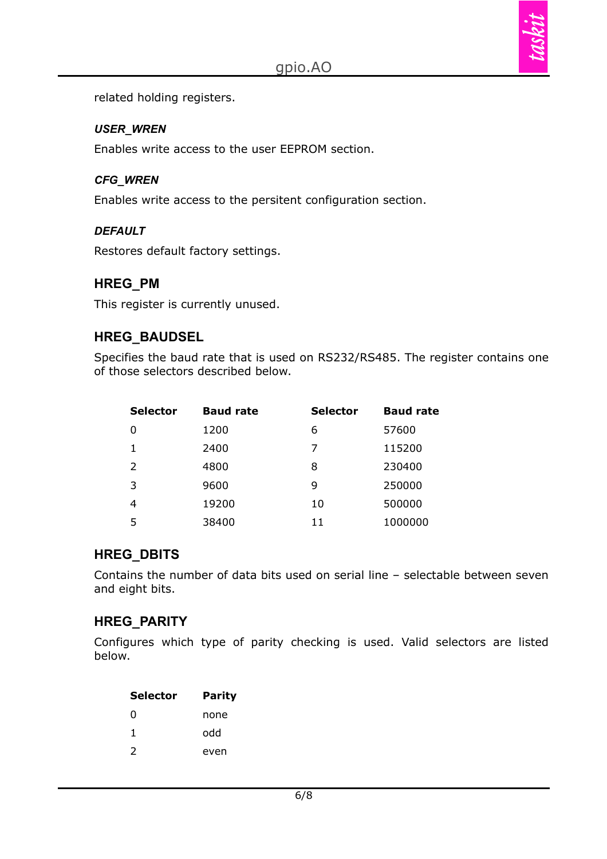

related holding registers.

#### *USER\_WREN*

Enables write access to the user EEPROM section.

#### *CFG\_WREN*

Enables write access to the persitent configuration section.

#### *DEFAULT*

Restores default factory settings.

## **HREG\_PM**

This register is currently unused.

## **HREG\_BAUDSEL**

Specifies the baud rate that is used on RS232/RS485. The register contains one of those selectors described below.

| <b>Selector</b> | <b>Baud rate</b> | <b>Selector</b> | <b>Baud rate</b> |
|-----------------|------------------|-----------------|------------------|
| 0               | 1200             | 6               | 57600            |
|                 | 2400             | 7               | 115200           |
| 2               | 4800             | 8               | 230400           |
| 3               | 9600             | 9               | 250000           |
| 4               | 19200            | 10              | 500000           |
| 5               | 38400            | 11              | 1000000          |

## **HREG\_DBITS**

Contains the number of data bits used on serial line – selectable between seven and eight bits.

## **HREG\_PARITY**

Configures which type of parity checking is used. Valid selectors are listed below.

| <b>Selector</b> | Parity |
|-----------------|--------|
| 0               | none   |
| 1.              | hbo    |
| $\mathcal{L}$   | even   |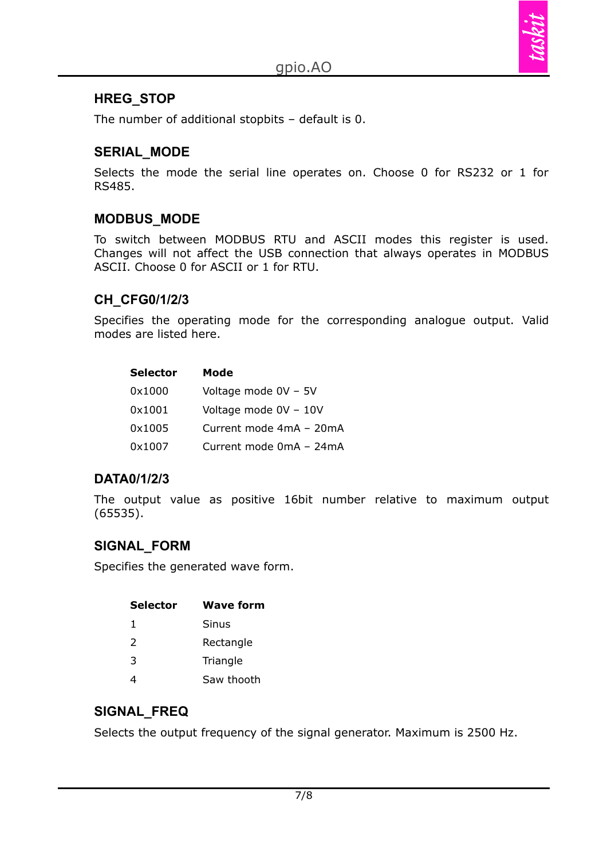

#### **HREG\_STOP**

The number of additional stopbits – default is 0.

#### **SERIAL\_MODE**

Selects the mode the serial line operates on. Choose 0 for RS232 or 1 for RS485.

## **MODBUS\_MODE**

To switch between MODBUS RTU and ASCII modes this register is used. Changes will not affect the USB connection that always operates in MODBUS ASCII. Choose 0 for ASCII or 1 for RTU.

#### **CH\_CFG0/1/2/3**

Specifies the operating mode for the corresponding analogue output. Valid modes are listed here.

| <b>Selector</b> | Mode                    |
|-----------------|-------------------------|
| 0x1000          | Voltage mode 0V - 5V    |
| 0x1001          | Voltage mode 0V - 10V   |
| 0x1005          | Current mode 4mA - 20mA |
| 0x1007          | Current mode 0mA - 24mA |

#### **DATA0/1/2/3**

The output value as positive 16bit number relative to maximum output (65535).

## **SIGNAL\_FORM**

Specifies the generated wave form.

| Selector      | <b>Wave form</b> |
|---------------|------------------|
| 1             | Sinus            |
| $\mathcal{L}$ | Rectangle        |
| 3             | Triangle         |
|               | Saw thooth       |

## **SIGNAL\_FREQ**

Selects the output frequency of the signal generator. Maximum is 2500 Hz.